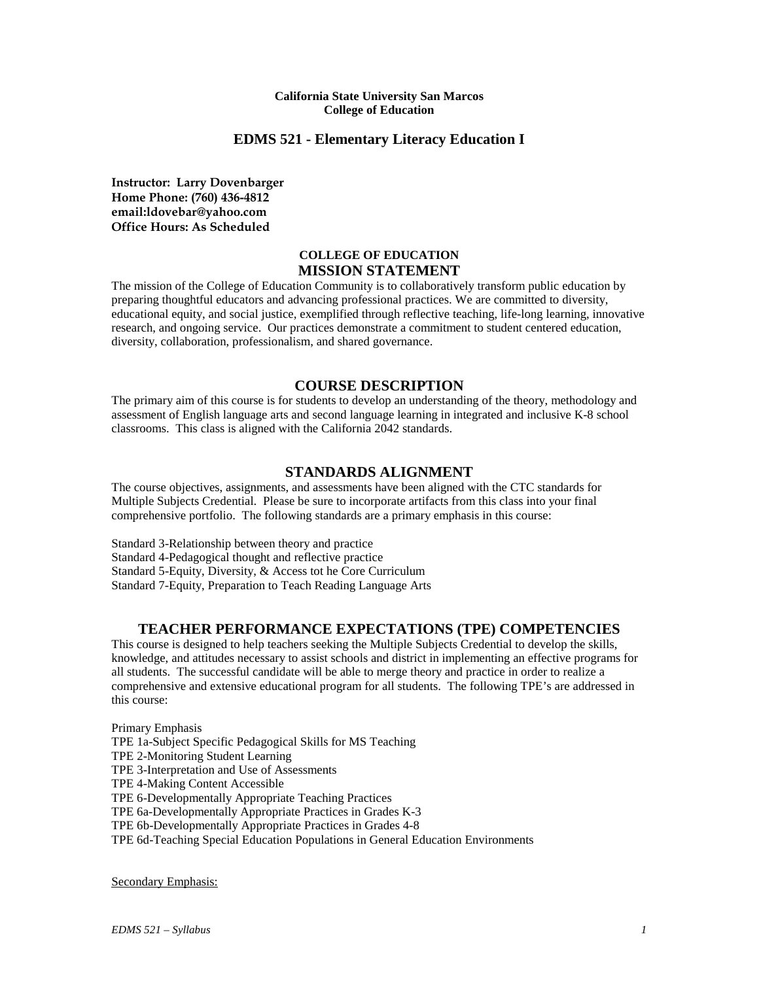#### **California State University San Marcos College of Education**

## **EDMS 521 - Elementary Literacy Education I**

**Instructor: Larry Dovenbarger Home Phone: (760) 436-4812 email:ldovebar@yahoo.com Office Hours: As Scheduled**

### **COLLEGE OF EDUCATION MISSION STATEMENT**

The mission of the College of Education Community is to collaboratively transform public education by preparing thoughtful educators and advancing professional practices. We are committed to diversity, educational equity, and social justice, exemplified through reflective teaching, life-long learning, innovative research, and ongoing service. Our practices demonstrate a commitment to student centered education, diversity, collaboration, professionalism, and shared governance.

### **COURSE DESCRIPTION**

The primary aim of this course is for students to develop an understanding of the theory, methodology and assessment of English language arts and second language learning in integrated and inclusive K-8 school classrooms. This class is aligned with the California 2042 standards.

### **STANDARDS ALIGNMENT**

The course objectives, assignments, and assessments have been aligned with the CTC standards for Multiple Subjects Credential. Please be sure to incorporate artifacts from this class into your final comprehensive portfolio. The following standards are a primary emphasis in this course:

Standard 3-Relationship between theory and practice Standard 4-Pedagogical thought and reflective practice Standard 5-Equity, Diversity, & Access tot he Core Curriculum Standard 7-Equity, Preparation to Teach Reading Language Arts

## **TEACHER PERFORMANCE EXPECTATIONS (TPE) COMPETENCIES**

This course is designed to help teachers seeking the Multiple Subjects Credential to develop the skills, knowledge, and attitudes necessary to assist schools and district in implementing an effective programs for all students. The successful candidate will be able to merge theory and practice in order to realize a comprehensive and extensive educational program for all students. The following TPE's are addressed in this course:

Primary Emphasis TPE 1a-Subject Specific Pedagogical Skills for MS Teaching TPE 2-Monitoring Student Learning TPE 3-Interpretation and Use of Assessments TPE 4-Making Content Accessible TPE 6-Developmentally Appropriate Teaching Practices TPE 6a-Developmentally Appropriate Practices in Grades K-3 TPE 6b-Developmentally Appropriate Practices in Grades 4-8 TPE 6d-Teaching Special Education Populations in General Education Environments

Secondary Emphasis: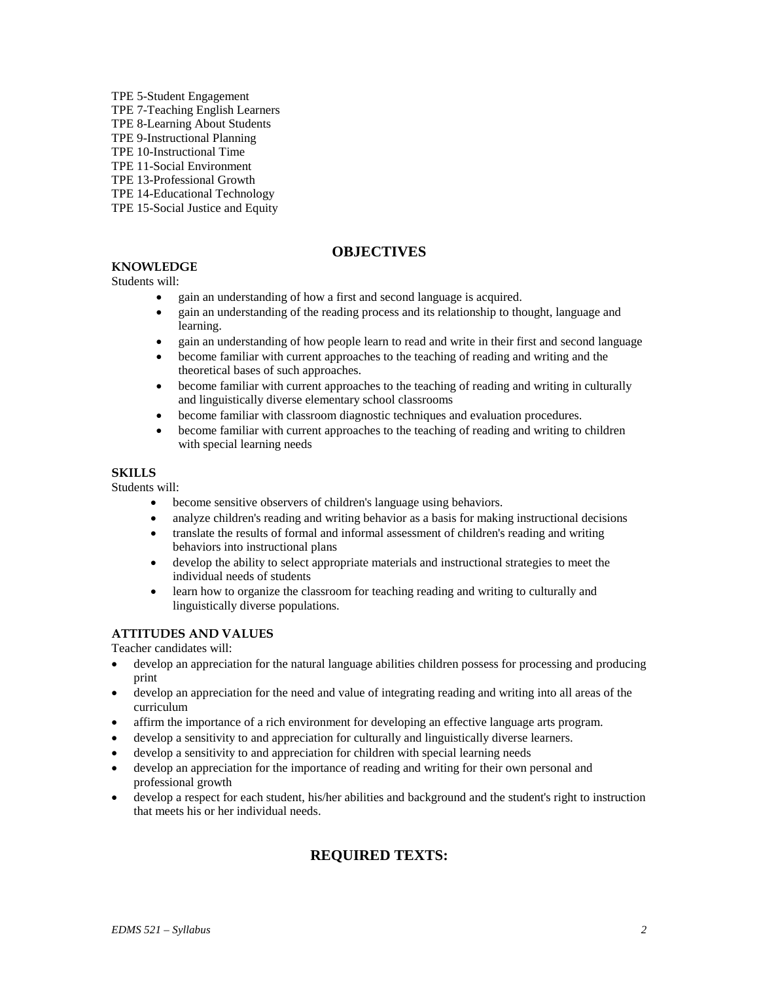TPE 5-Student Engagement TPE 7-Teaching English Learners TPE 8-Learning About Students TPE 9-Instructional Planning TPE 10-Instructional Time TPE 11-Social Environment TPE 13-Professional Growth TPE 14-Educational Technology TPE 15-Social Justice and Equity

# **OBJECTIVES**

# **KNOWLEDGE**

Students will:

- gain an understanding of how a first and second language is acquired.
- gain an understanding of the reading process and its relationship to thought, language and learning.
- gain an understanding of how people learn to read and write in their first and second language
- become familiar with current approaches to the teaching of reading and writing and the theoretical bases of such approaches.
- become familiar with current approaches to the teaching of reading and writing in culturally and linguistically diverse elementary school classrooms
- become familiar with classroom diagnostic techniques and evaluation procedures.
- become familiar with current approaches to the teaching of reading and writing to children with special learning needs

### **SKILLS**

Students will:

- become sensitive observers of children's language using behaviors.
- analyze children's reading and writing behavior as a basis for making instructional decisions
- translate the results of formal and informal assessment of children's reading and writing behaviors into instructional plans
- develop the ability to select appropriate materials and instructional strategies to meet the individual needs of students
- learn how to organize the classroom for teaching reading and writing to culturally and linguistically diverse populations.

## **ATTITUDES AND VALUES**

Teacher candidates will:

- develop an appreciation for the natural language abilities children possess for processing and producing print
- develop an appreciation for the need and value of integrating reading and writing into all areas of the curriculum
- affirm the importance of a rich environment for developing an effective language arts program.
- develop a sensitivity to and appreciation for culturally and linguistically diverse learners.
- develop a sensitivity to and appreciation for children with special learning needs
- develop an appreciation for the importance of reading and writing for their own personal and professional growth
- develop a respect for each student, his/her abilities and background and the student's right to instruction that meets his or her individual needs.

# **REQUIRED TEXTS:**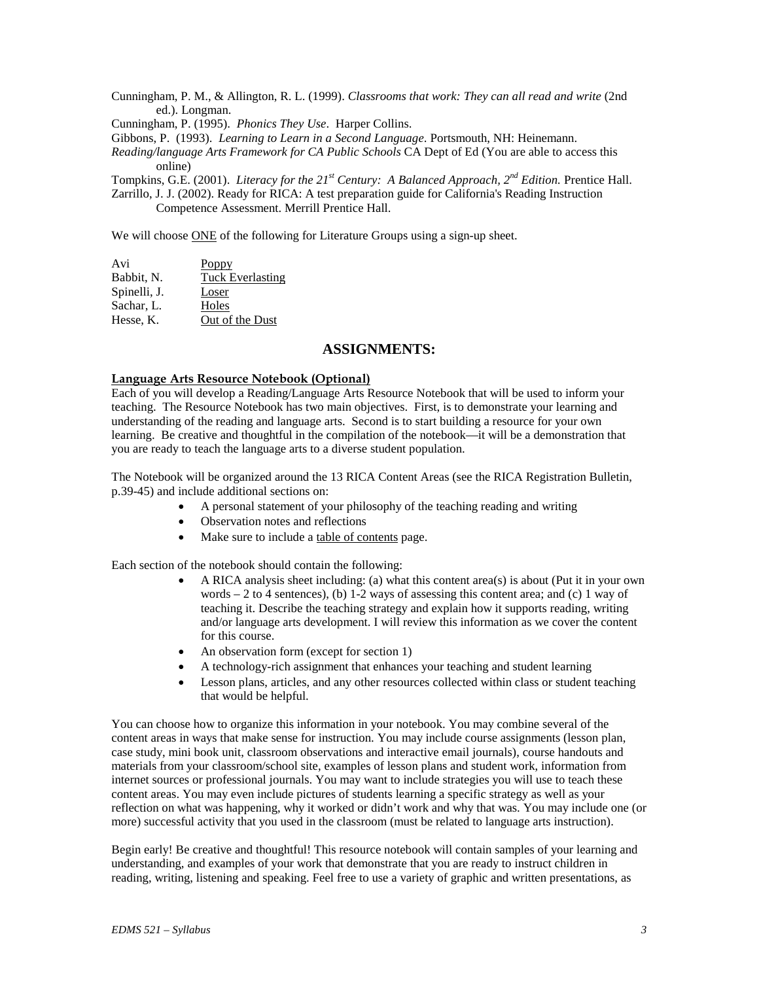Cunningham, P. M., & Allington, R. L. (1999). *Classrooms that work: They can all read and write* (2nd ed.). Longman.

Cunningham, P. (1995). *Phonics They Use*. Harper Collins.

Gibbons, P. (1993). *Learning to Learn in a Second Language*. Portsmouth, NH: Heinemann.

*Reading/language Arts Framework for CA Public Schools* CA Dept of Ed (You are able to access this online)

Tompkins, G.E. (2001). *Literacy for the 21st Century: A Balanced Approach, 2nd Edition.* Prentice Hall.

Zarrillo, J. J. (2002). Ready for RICA: A test preparation guide for California's Reading Instruction Competence Assessment. Merrill Prentice Hall.

We will choose ONE of the following for Literature Groups using a sign-up sheet.

| Avi          | Poppy                   |
|--------------|-------------------------|
| Babbit, N.   | <b>Tuck Everlasting</b> |
| Spinelli, J. | Loser                   |
| Sachar, L.   | Holes                   |
| Hesse, K.    | Out of the Dust         |

### **ASSIGNMENTS:**

#### **Language Arts Resource Notebook (Optional)**

Each of you will develop a Reading/Language Arts Resource Notebook that will be used to inform your teaching. The Resource Notebook has two main objectives. First, is to demonstrate your learning and understanding of the reading and language arts. Second is to start building a resource for your own learning. Be creative and thoughtful in the compilation of the notebook—it will be a demonstration that you are ready to teach the language arts to a diverse student population.

The Notebook will be organized around the 13 RICA Content Areas (see the RICA Registration Bulletin, p.39-45) and include additional sections on:

- A personal statement of your philosophy of the teaching reading and writing
- Observation notes and reflections
- Make sure to include a table of contents page.

Each section of the notebook should contain the following:

- A RICA analysis sheet including: (a) what this content area(s) is about (Put it in your own words  $-2$  to 4 sentences), (b) 1-2 ways of assessing this content area; and (c) 1 way of teaching it. Describe the teaching strategy and explain how it supports reading, writing and/or language arts development. I will review this information as we cover the content for this course.
- An observation form (except for section 1)
- A technology-rich assignment that enhances your teaching and student learning
- Lesson plans, articles, and any other resources collected within class or student teaching that would be helpful.

You can choose how to organize this information in your notebook. You may combine several of the content areas in ways that make sense for instruction. You may include course assignments (lesson plan, case study, mini book unit, classroom observations and interactive email journals), course handouts and materials from your classroom/school site, examples of lesson plans and student work, information from internet sources or professional journals. You may want to include strategies you will use to teach these content areas. You may even include pictures of students learning a specific strategy as well as your reflection on what was happening, why it worked or didn't work and why that was. You may include one (or more) successful activity that you used in the classroom (must be related to language arts instruction).

Begin early! Be creative and thoughtful! This resource notebook will contain samples of your learning and understanding, and examples of your work that demonstrate that you are ready to instruct children in reading, writing, listening and speaking. Feel free to use a variety of graphic and written presentations, as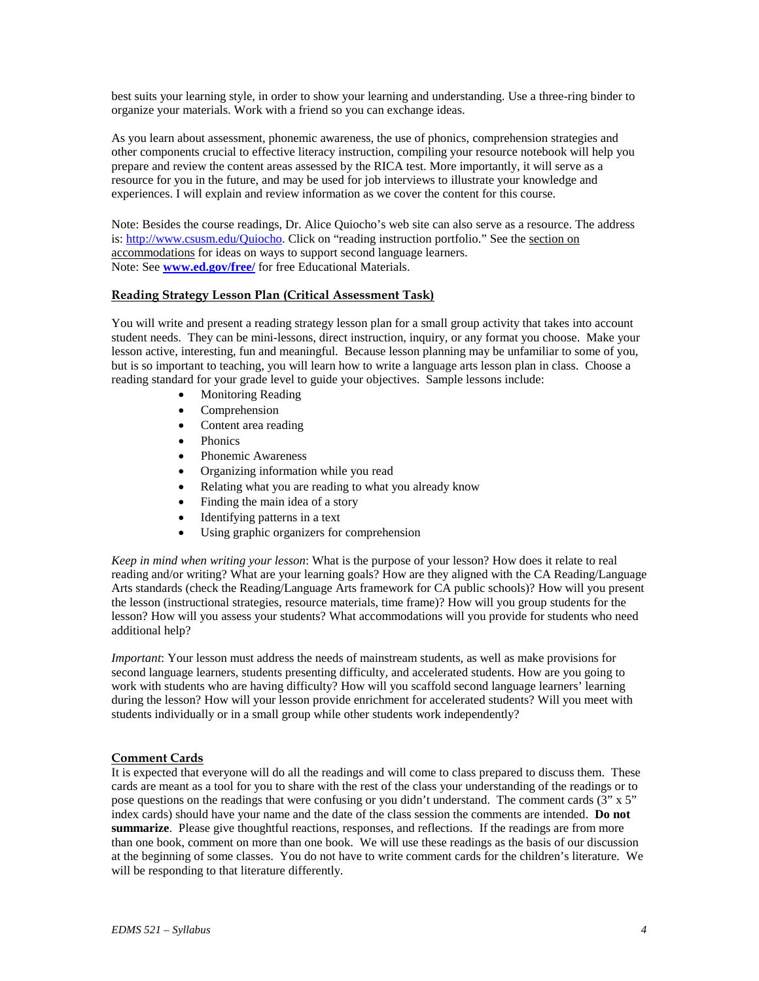best suits your learning style, in order to show your learning and understanding. Use a three-ring binder to organize your materials. Work with a friend so you can exchange ideas.

As you learn about assessment, phonemic awareness, the use of phonics, comprehension strategies and other components crucial to effective literacy instruction, compiling your resource notebook will help you prepare and review the content areas assessed by the RICA test. More importantly, it will serve as a resource for you in the future, and may be used for job interviews to illustrate your knowledge and experiences. I will explain and review information as we cover the content for this course.

Note: Besides the course readings, Dr. Alice Quiocho's web site can also serve as a resource. The address is: [http://www.csusm.edu/Quiocho.](http://www.csusm.edu/Quiocho) Click on "reading instruction portfolio." See the section on accommodations for ideas on ways to support second language learners. Note: See **[www.ed.gov/free/](http://www.ed.gov/free/)** for free Educational Materials.

#### **Reading Strategy Lesson Plan (Critical Assessment Task)**

You will write and present a reading strategy lesson plan for a small group activity that takes into account student needs. They can be mini-lessons, direct instruction, inquiry, or any format you choose. Make your lesson active, interesting, fun and meaningful. Because lesson planning may be unfamiliar to some of you, but is so important to teaching, you will learn how to write a language arts lesson plan in class. Choose a reading standard for your grade level to guide your objectives. Sample lessons include:

- Monitoring Reading
- Comprehension
- Content area reading
- Phonics
- Phonemic Awareness
- Organizing information while you read
- Relating what you are reading to what you already know
- Finding the main idea of a story
- Identifying patterns in a text
- Using graphic organizers for comprehension

*Keep in mind when writing your lesson*: What is the purpose of your lesson? How does it relate to real reading and/or writing? What are your learning goals? How are they aligned with the CA Reading/Language Arts standards (check the Reading/Language Arts framework for CA public schools)? How will you present the lesson (instructional strategies, resource materials, time frame)? How will you group students for the lesson? How will you assess your students? What accommodations will you provide for students who need additional help?

*Important*: Your lesson must address the needs of mainstream students, as well as make provisions for second language learners, students presenting difficulty, and accelerated students. How are you going to work with students who are having difficulty? How will you scaffold second language learners' learning during the lesson? How will your lesson provide enrichment for accelerated students? Will you meet with students individually or in a small group while other students work independently?

### **Comment Cards**

It is expected that everyone will do all the readings and will come to class prepared to discuss them. These cards are meant as a tool for you to share with the rest of the class your understanding of the readings or to pose questions on the readings that were confusing or you didn't understand. The comment cards (3" x 5" index cards) should have your name and the date of the class session the comments are intended. **Do not summarize**. Please give thoughtful reactions, responses, and reflections. If the readings are from more than one book, comment on more than one book. We will use these readings as the basis of our discussion at the beginning of some classes. You do not have to write comment cards for the children's literature. We will be responding to that literature differently.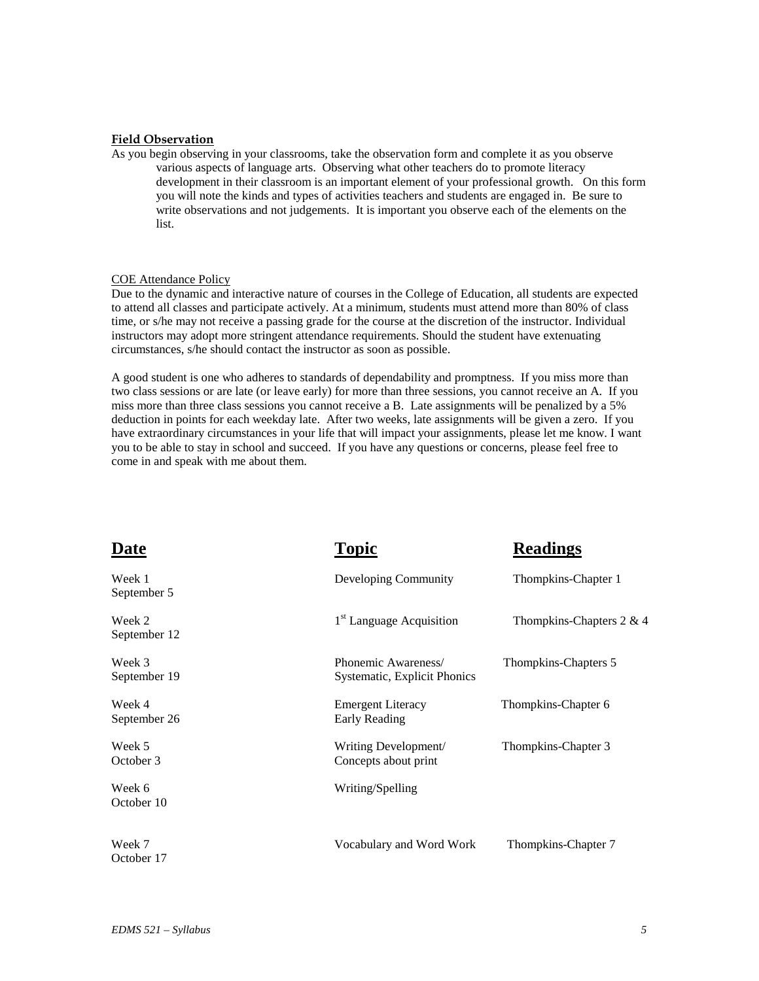#### **Field Observation**

As you begin observing in your classrooms, take the observation form and complete it as you observe various aspects of language arts. Observing what other teachers do to promote literacy development in their classroom is an important element of your professional growth. On this form you will note the kinds and types of activities teachers and students are engaged in. Be sure to write observations and not judgements. It is important you observe each of the elements on the list.

#### COE Attendance Policy

Due to the dynamic and interactive nature of courses in the College of Education, all students are expected to attend all classes and participate actively. At a minimum, students must attend more than 80% of class time, or s/he may not receive a passing grade for the course at the discretion of the instructor. Individual instructors may adopt more stringent attendance requirements. Should the student have extenuating circumstances, s/he should contact the instructor as soon as possible.

A good student is one who adheres to standards of dependability and promptness. If you miss more than two class sessions or are late (or leave early) for more than three sessions, you cannot receive an A. If you miss more than three class sessions you cannot receive a B. Late assignments will be penalized by a 5% deduction in points for each weekday late. After two weeks, late assignments will be given a zero. If you have extraordinary circumstances in your life that will impact your assignments, please let me know. I want you to be able to stay in school and succeed. If you have any questions or concerns, please feel free to come in and speak with me about them.

| <b>Date</b>            | <b>Topic</b>                                        | <b>Readings</b>             |
|------------------------|-----------------------------------------------------|-----------------------------|
| Week 1<br>September 5  | Developing Community                                | Thompkins-Chapter 1         |
| Week 2<br>September 12 | 1 <sup>st</sup> Language Acquisition                | Thompkins-Chapters $2 \& 4$ |
| Week 3<br>September 19 | Phonemic Awareness/<br>Systematic, Explicit Phonics | Thompkins-Chapters 5        |
| Week 4<br>September 26 | <b>Emergent Literacy</b><br>Early Reading           | Thompkins-Chapter 6         |
| Week 5<br>October 3    | Writing Development/<br>Concepts about print        | Thompkins-Chapter 3         |
| Week 6<br>October 10   | Writing/Spelling                                    |                             |
| Week 7<br>October 17   | Vocabulary and Word Work                            | Thompkins-Chapter 7         |